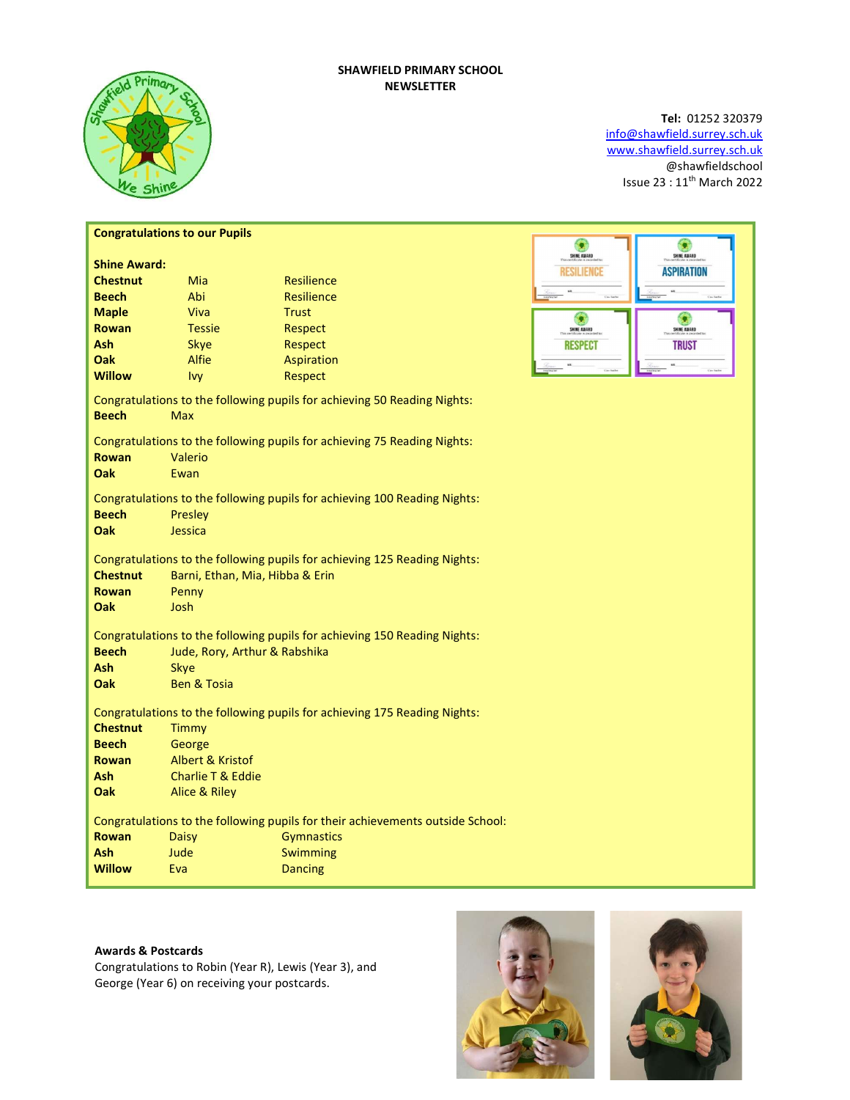# SHAWFIELD PRIMARY SCHOOL NEWSLETTER



# Tel: 01252 320379 info@shawfield.surrey.sch.uk www.shawfield.surrey.sch.uk @shawfieldschool Issue 23 : 11th March 2022

| SHINE AWARD<br>SHINE AWARD<br><b>Shine Award:</b><br><b>RESILIENCE</b><br><b>ASPIRATION</b><br>Resilience<br><b>Chestnut</b><br>Mia<br>Abi<br><b>Beech</b><br>Resilience<br><b>Maple</b><br>Viva<br><b>Trust</b><br>G<br>Ω<br><b>Rowan</b><br><b>Tessie</b><br>Respect<br>SHINE AWARD<br>SHINE AWARD |  |  |  |  |
|------------------------------------------------------------------------------------------------------------------------------------------------------------------------------------------------------------------------------------------------------------------------------------------------------|--|--|--|--|
|                                                                                                                                                                                                                                                                                                      |  |  |  |  |
|                                                                                                                                                                                                                                                                                                      |  |  |  |  |
|                                                                                                                                                                                                                                                                                                      |  |  |  |  |
|                                                                                                                                                                                                                                                                                                      |  |  |  |  |
|                                                                                                                                                                                                                                                                                                      |  |  |  |  |
| <b>Ash</b><br><b>Skye</b><br>Respect<br><b>RESPECT</b><br><b>TRUST</b>                                                                                                                                                                                                                               |  |  |  |  |
| Alfie<br>Oak<br>Aspiration                                                                                                                                                                                                                                                                           |  |  |  |  |
| <b>Willow</b><br>Ivy<br>Respect                                                                                                                                                                                                                                                                      |  |  |  |  |
| Congratulations to the following pupils for achieving 50 Reading Nights:<br><b>Beech</b><br><b>Max</b>                                                                                                                                                                                               |  |  |  |  |
| Congratulations to the following pupils for achieving 75 Reading Nights:                                                                                                                                                                                                                             |  |  |  |  |
| <b>Rowan</b><br>Valerio                                                                                                                                                                                                                                                                              |  |  |  |  |
| Oak<br>Ewan                                                                                                                                                                                                                                                                                          |  |  |  |  |
| Congratulations to the following pupils for achieving 100 Reading Nights:                                                                                                                                                                                                                            |  |  |  |  |
| <b>Beech</b><br>Presley                                                                                                                                                                                                                                                                              |  |  |  |  |
| Oak<br>Jessica                                                                                                                                                                                                                                                                                       |  |  |  |  |
| Congratulations to the following pupils for achieving 125 Reading Nights:<br><b>Chestnut</b><br>Barni, Ethan, Mia, Hibba & Erin<br><b>Rowan</b><br>Penny<br><b>Oak</b><br>Josh                                                                                                                       |  |  |  |  |
| Congratulations to the following pupils for achieving 150 Reading Nights:                                                                                                                                                                                                                            |  |  |  |  |
| Jude, Rory, Arthur & Rabshika<br><b>Beech</b>                                                                                                                                                                                                                                                        |  |  |  |  |
| <b>Skye</b>                                                                                                                                                                                                                                                                                          |  |  |  |  |
| <b>Ben &amp; Tosia</b><br>Oak                                                                                                                                                                                                                                                                        |  |  |  |  |
| Congratulations to the following pupils for achieving 175 Reading Nights:<br><b>Chestnut</b><br>Timmy                                                                                                                                                                                                |  |  |  |  |
| <b>Beech</b><br>George                                                                                                                                                                                                                                                                               |  |  |  |  |
| Albert & Kristof<br><b>Rowan</b>                                                                                                                                                                                                                                                                     |  |  |  |  |
| Charlie T & Eddie<br><b>Ash</b>                                                                                                                                                                                                                                                                      |  |  |  |  |
| <b>Oak</b><br><b>Alice &amp; Riley</b>                                                                                                                                                                                                                                                               |  |  |  |  |
| Congratulations to the following pupils for their achievements outside School:                                                                                                                                                                                                                       |  |  |  |  |
| <b>Rowan</b><br><b>Gymnastics</b><br><b>Daisy</b>                                                                                                                                                                                                                                                    |  |  |  |  |
| <b>Ash</b><br>Jude<br>Swimming                                                                                                                                                                                                                                                                       |  |  |  |  |
| <b>Willow</b><br>Eva<br><b>Dancing</b>                                                                                                                                                                                                                                                               |  |  |  |  |

# Awards & Postcards

Congratulations to Robin (Year R), Lewis (Year 3), and George (Year 6) on receiving your postcards.



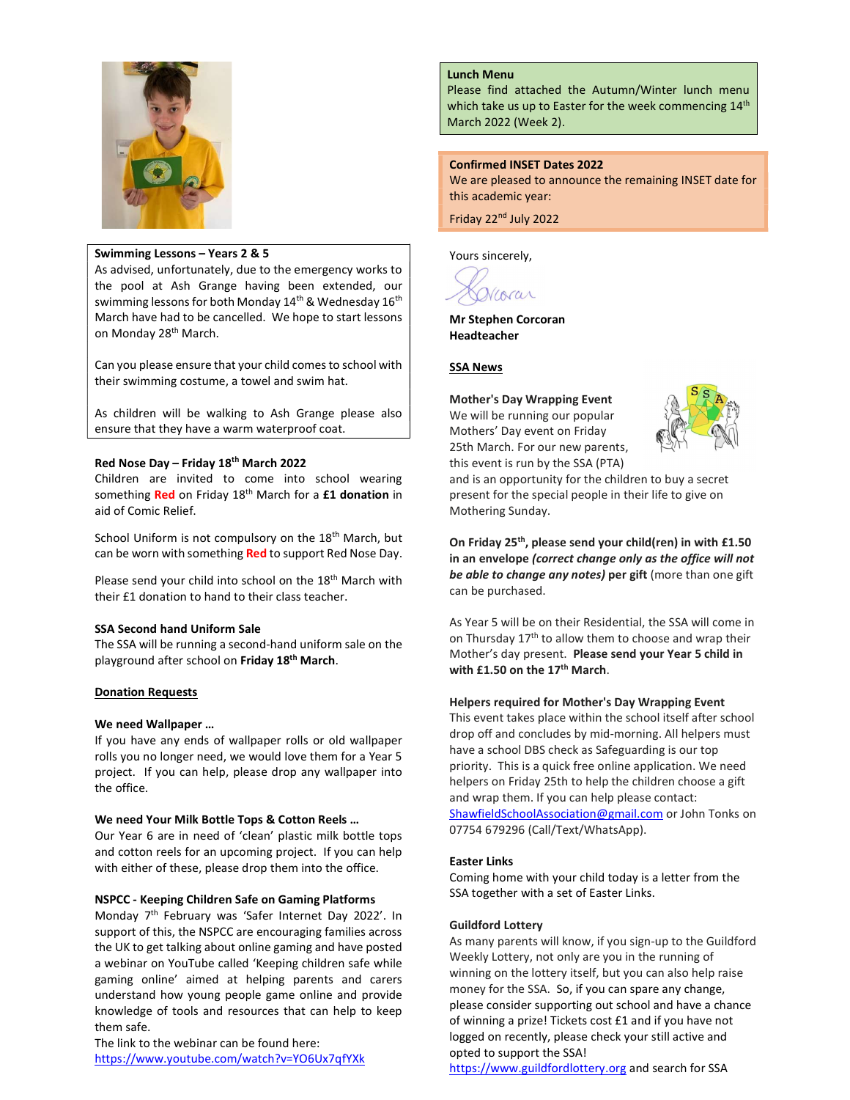

### Swimming Lessons – Years 2 & 5

As advised, unfortunately, due to the emergency works to the pool at Ash Grange having been extended, our swimming lessons for both Monday 14<sup>th</sup> & Wednesday 16<sup>th</sup> March have had to be cancelled. We hope to start lessons on Monday 28<sup>th</sup> March.

Can you please ensure that your child comes to school with their swimming costume, a towel and swim hat.

As children will be walking to Ash Grange please also ensure that they have a warm waterproof coat.

# Red Nose Day – Friday 18th March 2022

Children are invited to come into school wearing something Red on Friday 18<sup>th</sup> March for a £1 donation in aid of Comic Relief.

School Uniform is not compulsory on the 18<sup>th</sup> March, but can be worn with something Red to support Red Nose Day.

Please send your child into school on the 18<sup>th</sup> March with their £1 donation to hand to their class teacher.

### SSA Second hand Uniform Sale

The SSA will be running a second-hand uniform sale on the playground after school on Friday 18th March.

### Donation Requests

# We need Wallpaper …

If you have any ends of wallpaper rolls or old wallpaper rolls you no longer need, we would love them for a Year 5 project. If you can help, please drop any wallpaper into the office.

### We need Your Milk Bottle Tops & Cotton Reels …

Our Year 6 are in need of 'clean' plastic milk bottle tops and cotton reels for an upcoming project. If you can help with either of these, please drop them into the office.

### NSPCC - Keeping Children Safe on Gaming Platforms

Monday 7th February was 'Safer Internet Day 2022'. In support of this, the NSPCC are encouraging families across the UK to get talking about online gaming and have posted a webinar on YouTube called 'Keeping children safe while gaming online' aimed at helping parents and carers understand how young people game online and provide knowledge of tools and resources that can help to keep them safe.

The link to the webinar can be found here: https://www.youtube.com/watch?v=YO6Ux7qfYXk

# Lunch Menu

Please find attached the Autumn/Winter lunch menu which take us up to Easter for the week commencing  $14<sup>th</sup>$ March 2022 (Week 2).

### Confirmed INSET Dates 2022

We are pleased to announce the remaining INSET date for this academic year:

Friday 22nd July 2022

Yours sincerely,

Viorar

Mr Stephen Corcoran Headteacher

### **SSA News**

Mother's Day Wrapping Event We will be running our popular Mothers' Day event on Friday 25th March. For our new parents,



this event is run by the SSA (PTA) and is an opportunity for the children to buy a secret present for the special people in their life to give on Mothering Sunday.

On Friday 25<sup>th</sup>, please send your child(ren) in with £1.50 in an envelope (correct change only as the office will not be able to change any notes) per gift (more than one gift can be purchased.

As Year 5 will be on their Residential, the SSA will come in on Thursday  $17<sup>th</sup>$  to allow them to choose and wrap their Mother's day present. Please send your Year 5 child in with £1.50 on the  $17<sup>th</sup>$  March.

### Helpers required for Mother's Day Wrapping Event

This event takes place within the school itself after school drop off and concludes by mid-morning. All helpers must have a school DBS check as Safeguarding is our top priority. This is a quick free online application. We need helpers on Friday 25th to help the children choose a gift and wrap them. If you can help please contact: ShawfieldSchoolAssociation@gmail.com or John Tonks on 07754 679296 (Call/Text/WhatsApp).

### Easter Links

Coming home with your child today is a letter from the SSA together with a set of Easter Links.

### Guildford Lottery

As many parents will know, if you sign-up to the Guildford Weekly Lottery, not only are you in the running of winning on the lottery itself, but you can also help raise money for the SSA. So, if you can spare any change, please consider supporting out school and have a chance of winning a prize! Tickets cost £1 and if you have not logged on recently, please check your still active and opted to support the SSA!

https://www.guildfordlottery.org and search for SSA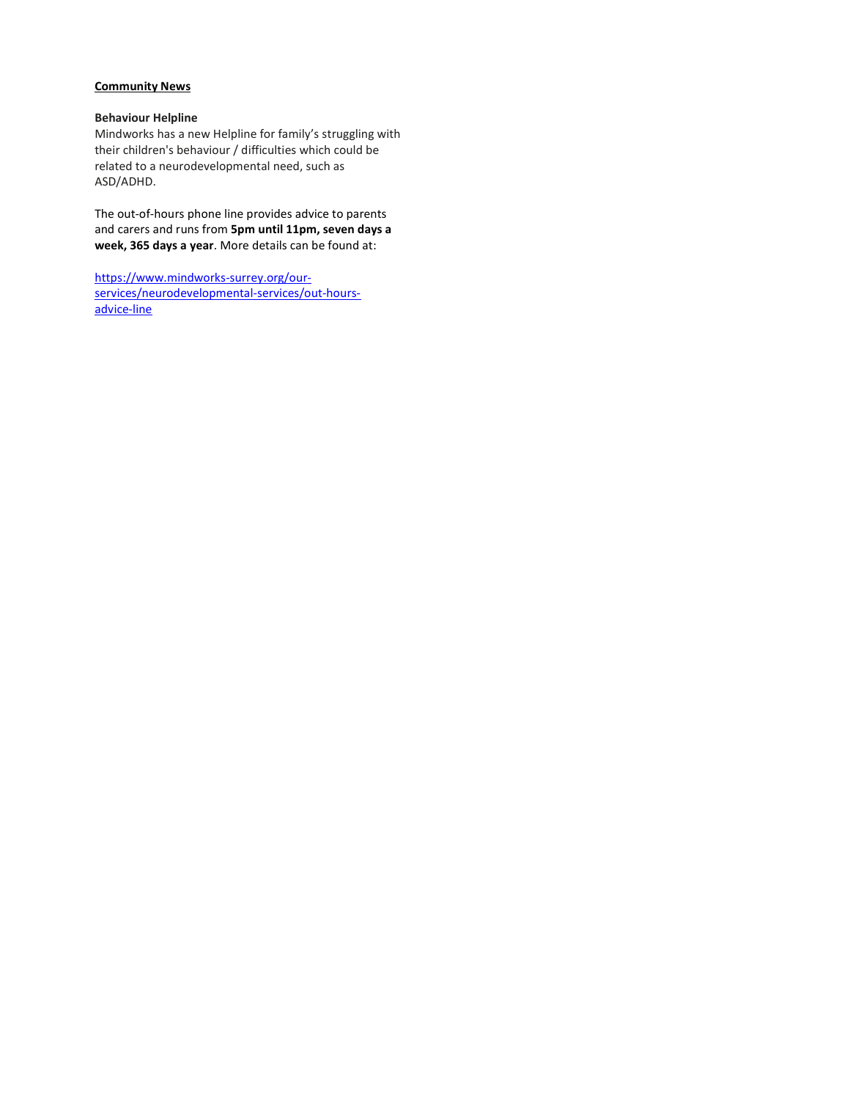# **Community News**

### Behaviour Helpline

Mindworks has a new Helpline for family's struggling with their children's behaviour / difficulties which could be related to a neurodevelopmental need, such as ASD/ADHD.

The out-of-hours phone line provides advice to parents and carers and runs from 5pm until 11pm, seven days a week, 365 days a year. More details can be found at:

https://www.mindworks-surrey.org/ourservices/neurodevelopmental-services/out-hoursadvice-line